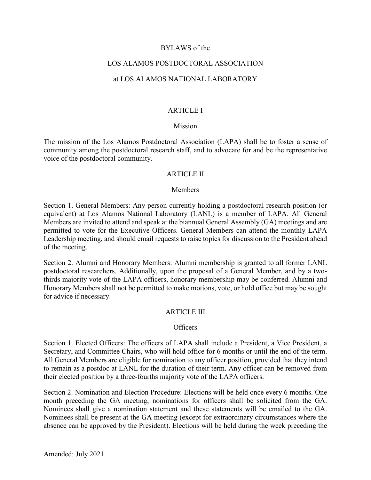# BYLAWS of the

# LOS ALAMOS POSTDOCTORAL ASSOCIATION

### at LOS ALAMOS NATIONAL LABORATORY

### ARTICLE I

### Mission

The mission of the Los Alamos Postdoctoral Association (LAPA) shall be to foster a sense of community among the postdoctoral research staff, and to advocate for and be the representative voice of the postdoctoral community.

#### ARTICLE II

#### Members

Section 1. General Members: Any person currently holding a postdoctoral research position (or equivalent) at Los Alamos National Laboratory (LANL) is a member of LAPA. All General Members are invited to attend and speak at the biannual General Assembly (GA) meetings and are permitted to vote for the Executive Officers. General Members can attend the monthly LAPA Leadership meeting, and should email requests to raise topics for discussion to the President ahead of the meeting.

Section 2. Alumni and Honorary Members: Alumni membership is granted to all former LANL postdoctoral researchers. Additionally, upon the proposal of a General Member, and by a twothirds majority vote of the LAPA officers, honorary membership may be conferred. Alumni and Honorary Members shall not be permitted to make motions, vote, or hold office but may be sought for advice if necessary.

# ARTICLE III

#### Officers

Section 1. Elected Officers: The officers of LAPA shall include a President, a Vice President, a Secretary, and Committee Chairs, who will hold office for 6 months or until the end of the term. All General Members are eligible for nomination to any officer position, provided that they intend to remain as a postdoc at LANL for the duration of their term. Any officer can be removed from their elected position by a three-fourths majority vote of the LAPA officers.

Section 2. Nomination and Election Procedure: Elections will be held once every 6 months. One month preceding the GA meeting, nominations for officers shall be solicited from the GA. Nominees shall give a nomination statement and these statements will be emailed to the GA. Nominees shall be present at the GA meeting (except for extraordinary circumstances where the absence can be approved by the President). Elections will be held during the week preceding the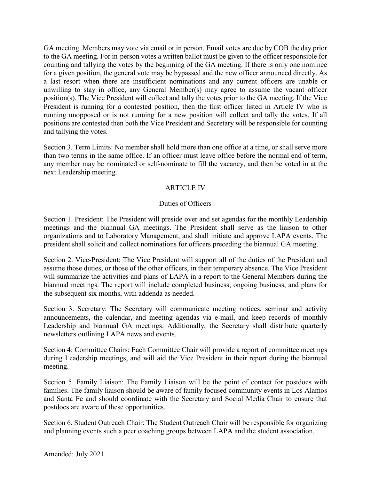GA meeting. Members may vote via email or in person. Email votes are due by COB the day prior to the GA meeting. For in-person votes a written ballot must be given to the officer responsible for counting and tallying the votes by the beginning of the GA meeting. If there is only one nominee for a given position, the general vote may be bypassed and the new officer announced directly. As a last resort when there are insufficient nominations and any current officers are unable or unwilling to stay in office, any General Member(s) may agree to assume the vacant officer position(s). The Vice President will collect and tally the votes prior to the GA meeting. If the Vice President is running for a contested position, then the first officer listed in Article IV who is running unopposed or is not running for a new position will collect and tally the votes. If all positions are contested then both the Vice President and Secretary will be responsible for counting and tallying the votes.

Section 3. Term Limits: No member shall hold more than one office at a time, or shall serve more than two terms in the same office. If an officer must leave office before the normal end of term, any member may be nominated or self-nominate to fill the vacancy, and then be voted in at the next Leadership meeting.

# ARTICLE IV

# Duties of Officers

Section 1. President: The President will preside over and set agendas for the monthly Leadership meetings and the biannual GA meetings. The President shall serve as the liaison to other organizations and to Laboratory Management, and shall initiate and approve LAPA events. The president shall solicit and collect nominations for officers preceding the biannual GA meeting.

Section 2. Vice-President: The Vice President will support all of the duties of the President and assume those duties, or those of the other officers, in their temporary absence. The Vice President will summarize the activities and plans of LAPA in a report to the General Members during the biannual meetings. The report will include completed business, ongoing business, and plans for the subsequent six months, with addenda as needed.

Section 3. Secretary: The Secretary will communicate meeting notices, seminar and activity announcements, the calendar, and meeting agendas via e-mail, and keep records of monthly Leadership and biannual GA meetings. Additionally, the Secretary shall distribute quarterly newsletters outlining LAPA news and events.

Section 4: Committee Chairs: Each Committee Chair will provide a report of committee meetings during Leadership meetings, and will aid the Vice President in their report during the biannual meeting.

Section 5. Family Liaison: The Family Liaison will be the point of contact for postdocs with families. The family liaison should be aware of family focused community events in Los Alamos and Santa Fe and should coordinate with the Secretary and Social Media Chair to ensure that postdocs are aware of these opportunities.

Section 6. Student Outreach Chair: The Student Outreach Chair will be responsible for organizing and planning events such a peer coaching groups between LAPA and the student association.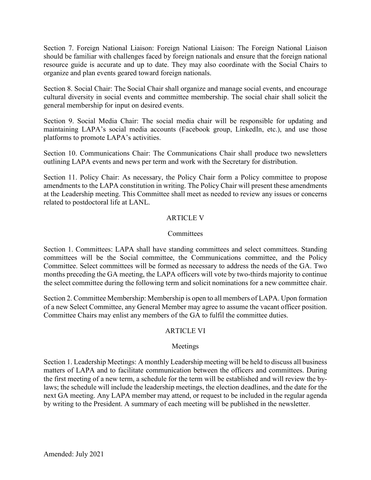Section 7. Foreign National Liaison: Foreign National Liaison: The Foreign National Liaison should be familiar with challenges faced by foreign nationals and ensure that the foreign national resource guide is accurate and up to date. They may also coordinate with the Social Chairs to organize and plan events geared toward foreign nationals.

Section 8. Social Chair: The Social Chair shall organize and manage social events, and encourage cultural diversity in social events and committee membership. The social chair shall solicit the general membership for input on desired events.

Section 9. Social Media Chair: The social media chair will be responsible for updating and maintaining LAPA's social media accounts (Facebook group, LinkedIn, etc.), and use those platforms to promote LAPA's activities.

Section 10. Communications Chair: The Communications Chair shall produce two newsletters outlining LAPA events and news per term and work with the Secretary for distribution.

Section 11. Policy Chair: As necessary, the Policy Chair form a Policy committee to propose amendments to the LAPA constitution in writing. The Policy Chair will present these amendments at the Leadership meeting. This Committee shall meet as needed to review any issues or concerns related to postdoctoral life at LANL.

# ARTICLE V

# **Committees**

Section 1. Committees: LAPA shall have standing committees and select committees. Standing committees will be the Social committee, the Communications committee, and the Policy Committee. Select committees will be formed as necessary to address the needs of the GA. Two months preceding the GA meeting, the LAPA officers will vote by two-thirds majority to continue the select committee during the following term and solicit nominations for a new committee chair.

Section 2. Committee Membership: Membership is open to all members of LAPA. Upon formation of a new Select Committee, any General Member may agree to assume the vacant officer position. Committee Chairs may enlist any members of the GA to fulfil the committee duties.

# ARTICLE VI

# Meetings

Section 1. Leadership Meetings: A monthly Leadership meeting will be held to discuss all business matters of LAPA and to facilitate communication between the officers and committees. During the first meeting of a new term, a schedule for the term will be established and will review the bylaws; the schedule will include the leadership meetings, the election deadlines, and the date for the next GA meeting. Any LAPA member may attend, or request to be included in the regular agenda by writing to the President. A summary of each meeting will be published in the newsletter.